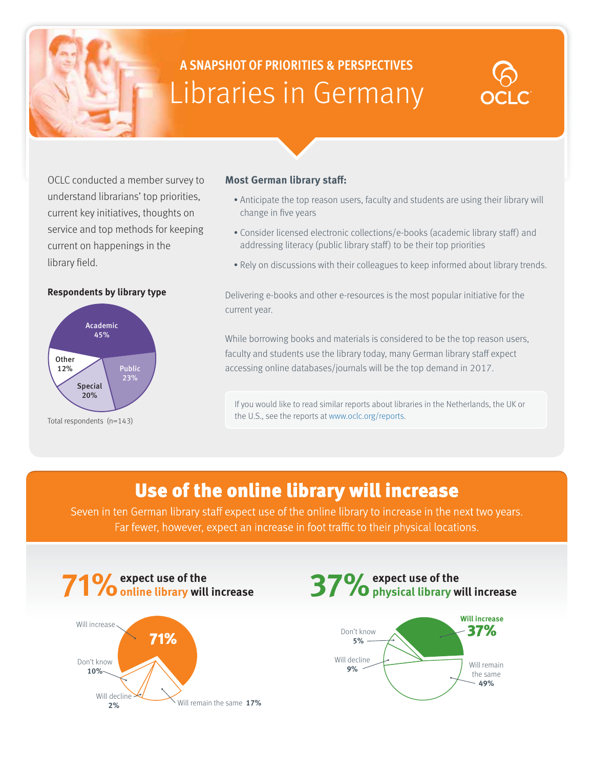# **A SNAPSHOT OF PRIORITIES & PERSPECTIVES** Libraries in Germany

OCLC conducted a member survey to understand librarians' top priorities, current key initiatives, thoughts on service and top methods for keeping current on happenings in the library field.

#### **Respondents by library type**



Total respondents (n=143)

#### **Most German library staff:**

- Anticipate the top reason users, faculty and students are using their library will change in five years
- Consider licensed electronic collections/e-books (academic library staff) and addressing literacy (public library staff) to be their top priorities
- Rely on discussions with their colleagues to keep informed about library trends.

Delivering e-books and other e-resources is the most popular initiative for the current year.

While borrowing books and materials is considered to be the top reason users, faculty and students use the library today, many German library staff expect accessing online databases/journals will be the top demand in 2017.

If you would like to read similar reports about libraries in the Netherlands, the UK or the U.S., see the reports at www.oclc.org/reports.

## Use of the online library will increase

Seven in ten German library staff expect use of the online library to increase in the next two years. Far fewer, however, expect an increase in foot traffic to their physical locations.





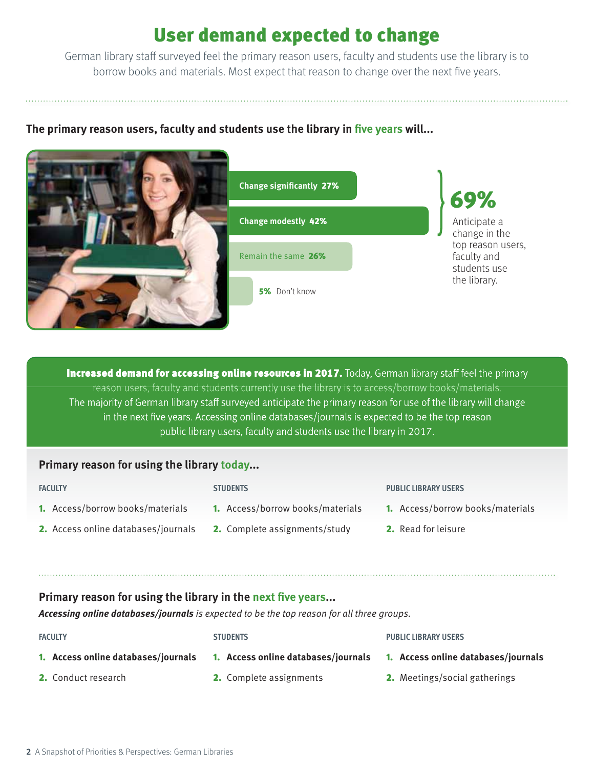## User demand expected to change

German library staff surveyed feel the primary reason users, faculty and students use the library is to borrow books and materials. Most expect that reason to change over the next five years.

### The primary reason users, faculty and students use the library in five years will...



**Increased demand for accessing online resources in 2017.** Today, German library staff feel the primary reason users, faculty and students currently use the library is to access/borrow books/materials. The majority of German library staff surveyed anticipate the primary reason for use of the library will change in the next five years. Accessing online databases/journals is expected to be the top reason public library users, faculty and students use the library in 2017.

### **Primary reason for using the library today...**

#### **FACULTY**

**STUDENTS**

- 1. Access/borrow books/materials
- 1. Access/borrow books/materials
- 2. Access online databases/journals
	- 2. Complete assignments/study

#### **PUBLIC LIBRARY USERS**

- 1. Access/borrow books/materials
- 2. Read for leisure

#### **Primary reason for using the library in the next five years...**

**Accessing online databases/journals** is expected to be the top reason for all three groups.

1. **Access online databases/journals** 1. **Access online databases/journals**

**FACULTY**

#### **STUDENTS**

#### **PUBLIC LIBRARY USERS**

1. **Access online databases/journals**

2. Conduct research

- 2. Complete assignments
- 2. Meetings/social gatherings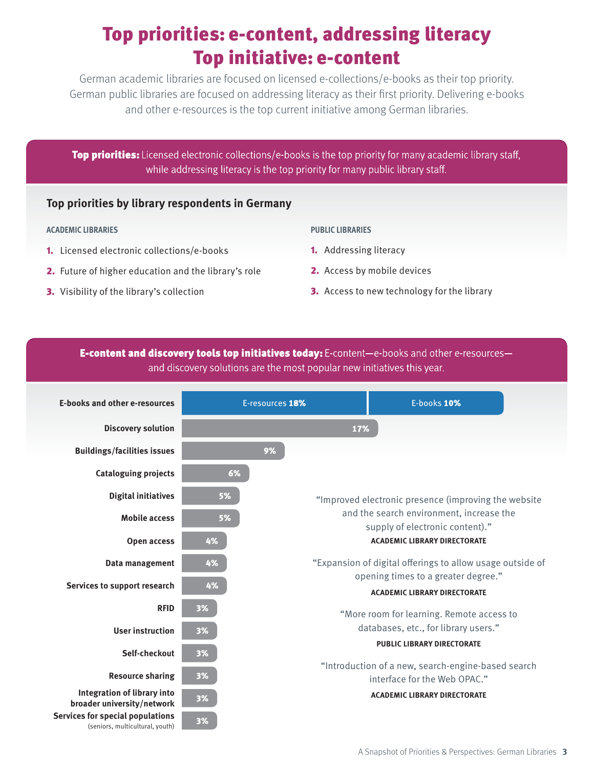## Top priorities: e-content, addressing literacy Top initiative: e-content

German academic libraries are focused on licensed e-collections/e-books as their top priority. German public libraries are focused on addressing literacy as their first priority. Delivering e-books and other e-resources is the top current initiative among German libraries.

Top priorities: Licensed electronic collections/e-books is the top priority for many academic library staff, while addressing literacy is the top priority for many public library staff.

#### **Top priorities by library respondents in Germany**

#### **ACADEMIC LIBRARIES PUBLIC LIBRARIES**

- 1. Licensed electronic collections/e-books
- 2. Future of higher education and the library's role
- 3. Visibility of the library's collection

- 1. Addressing literacy
- 2. Access by mobile devices
- **3.** Access to new technology for the library

E-content and discovery tools top initiatives today: E-content-e-books and other e-resourcesand discovery solutions are the most popular new initiatives this year.